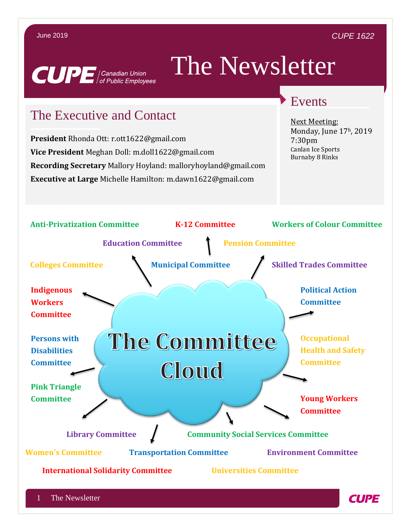# **CUPE** Canadian Union

# The Newsletter

### The Executive and Contact

**President** Rhonda Ott: r.ott1622@gmail.com **Vice President** Meghan Doll: m.doll1622@gmail.com **Recording Secretary** Mallory Hoyland: malloryhoyland@gmail.com **Executive at Large** Michelle Hamilton: m.dawn1622@gmail.com

#### Events

Next Meeting: Monday, June 17h, 2019 7:30pm Canlan Ice Sports Burnaby 8 Rinks